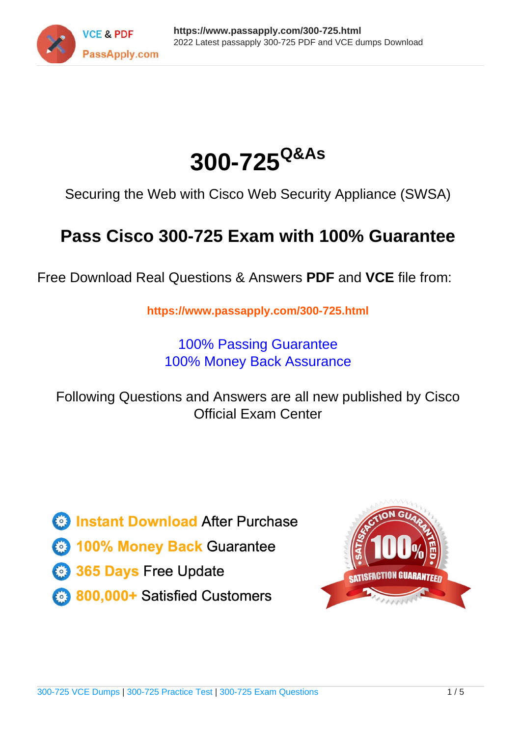



Securing the Web with Cisco Web Security Appliance (SWSA)

# **Pass Cisco 300-725 Exam with 100% Guarantee**

Free Download Real Questions & Answers **PDF** and **VCE** file from:

**https://www.passapply.com/300-725.html**

100% Passing Guarantee 100% Money Back Assurance

Following Questions and Answers are all new published by Cisco Official Exam Center

**C** Instant Download After Purchase

- **83 100% Money Back Guarantee**
- 365 Days Free Update
- 800,000+ Satisfied Customers

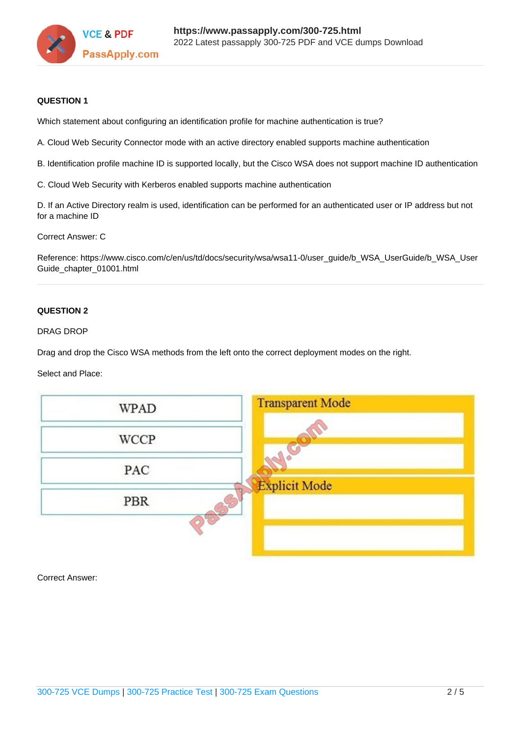

## **QUESTION 1**

Which statement about configuring an identification profile for machine authentication is true?

A. Cloud Web Security Connector mode with an active directory enabled supports machine authentication

- B. Identification profile machine ID is supported locally, but the Cisco WSA does not support machine ID authentication
- C. Cloud Web Security with Kerberos enabled supports machine authentication

D. If an Active Directory realm is used, identification can be performed for an authenticated user or IP address but not for a machine ID

Correct Answer: C

Reference: https://www.cisco.com/c/en/us/td/docs/security/wsa/wsa11-0/user\_guide/b\_WSA\_UserGuide/b\_WSA\_User Guide\_chapter\_01001.html

### **QUESTION 2**

#### DRAG DROP

Drag and drop the Cisco WSA methods from the left onto the correct deployment modes on the right.

#### Select and Place:



Correct Answer: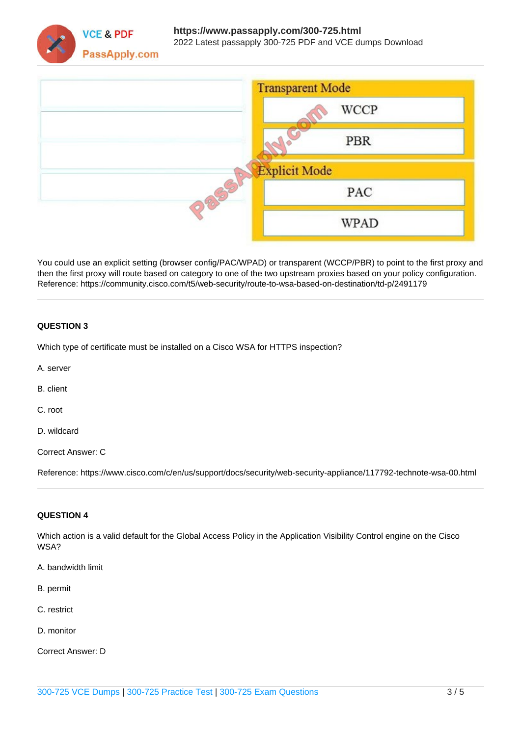



You could use an explicit setting (browser config/PAC/WPAD) or transparent (WCCP/PBR) to point to the first proxy and then the first proxy will route based on category to one of the two upstream proxies based on your policy configuration. Reference: https://community.cisco.com/t5/web-security/route-to-wsa-based-on-destination/td-p/2491179

# **QUESTION 3**

Which type of certificate must be installed on a Cisco WSA for HTTPS inspection?

A. server

B. client

C. root

D. wildcard

Correct Answer: C

Reference: https://www.cisco.com/c/en/us/support/docs/security/web-security-appliance/117792-technote-wsa-00.html

### **QUESTION 4**

Which action is a valid default for the Global Access Policy in the Application Visibility Control engine on the Cisco WSA?

- A. bandwidth limit
- B. permit
- C. restrict
- D. monitor

Correct Answer: D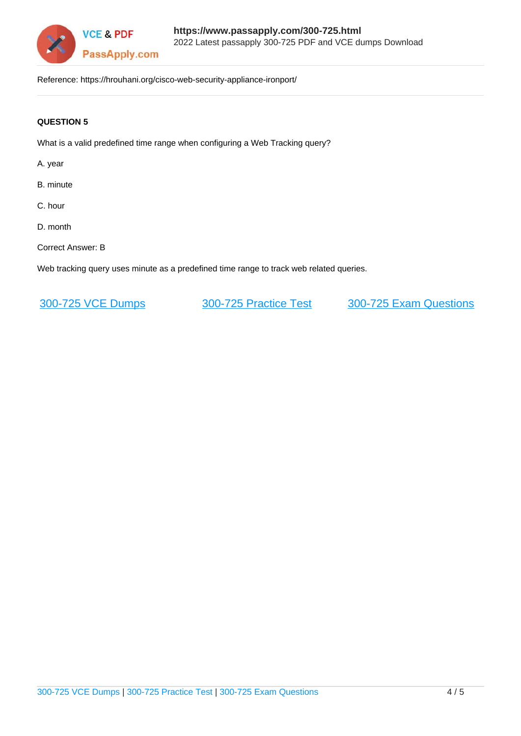

Reference: https://hrouhani.org/cisco-web-security-appliance-ironport/

# **QUESTION 5**

What is a valid predefined time range when configuring a Web Tracking query?

A. year

- B. minute
- C. hour
- D. month
- Correct Answer: B

Web tracking query uses minute as a predefined time range to track web related queries.

[300-725 VCE Dumps](https://www.passapply.com/300-725.html) [300-725 Practice Test](https://www.passapply.com/300-725.html) [300-725 Exam Questions](https://www.passapply.com/300-725.html)